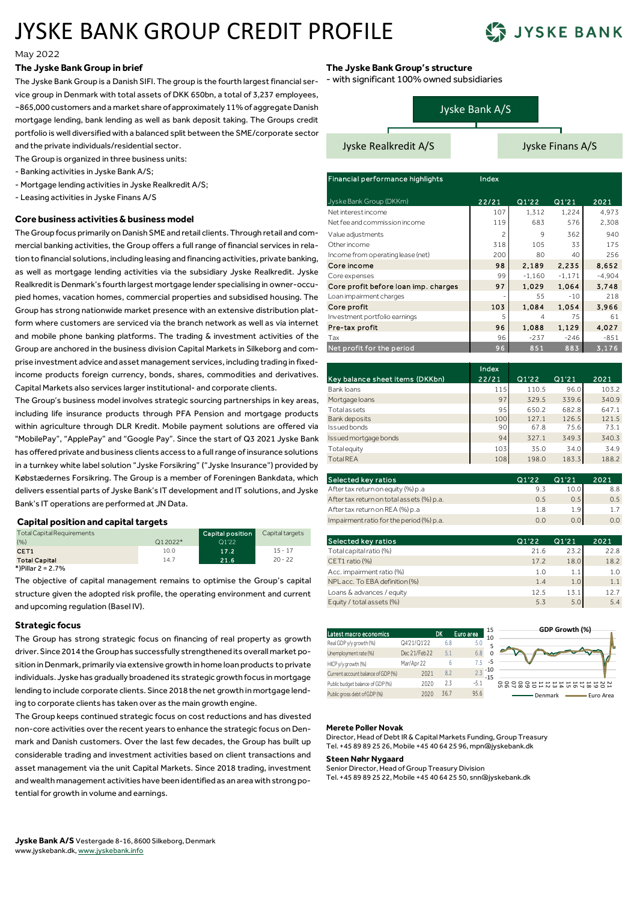# JYSKE BANK GROUP CREDIT PROFILE



#### May 2022

#### **The Jyske Bank Group in brief**

The Jyske Bank Group is a Danish SIFI. The group is the fourth largest financial service group in Denmark with total assets of DKK 650bn, a total of 3,237 employees, ~865,000 customers and a market share of approximately 11% of aggregate Danish mortgage lending, bank lending as well as bank deposit taking. The Groups credit portfolio is well diversified with a balanced split between the SME/corporate sector and the private individuals/residential sector.

The Group is organized in three business units:

- Banking activities in Jyske Bank A/S;
- Mortgage lending activities in Jyske Realkredit A/S;
- Leasing activities in Jyske Finans A/S

# **Core business activities & business model**

The Group focus primarily on Danish SME and retail clients. Through retail and commercial banking activities, the Group offers a full range of financial services in relation to financial solutions, including leasing and financing activities, private banking, as well as mortgage lending activities via the subsidiary Jyske Realkredit. Jyske Realkredit is Denmark's fourth largest mortgage lender specialising in owner-occupied homes, vacation homes, commercial properties and subsidised housing. The Group has strong nationwide market presence with an extensive distribution platform where customers are serviced via the branch network as well as via internet and mobile phone banking platforms. The trading & investment activities of the Group are anchored in the business division Capital Markets in Silkeborg and comprise investment advice and asset management services, including trading in fixedincome products foreign currency, bonds, shares, commodities and derivatives. Capital Markets also services larger institutional- and corporate clients.

The Group's business model involves strategic sourcing partnerships in key areas, including life insurance products through PFA Pension and mortgage products within agriculture through DLR Kredit. Mobile payment solutions are offered via "MobilePay", "ApplePay" and "Google Pay". Since the start of Q3 2021 Jyske Bank has offered private and business clients access to a full range of insurance solutions in a turnkey white label solution "Jyske Forsikring" ("Jyske Insurance") provided by Købstædernes Forsikring. The Group is a member of Foreningen Bankdata, which delivers essential parts of Jyske Bank's IT development and IT solutions, and Jyske Bank's IT operations are performed at JN Data.

## **Capital position and capital targets**

| <b>Total Capital Requirements</b> |           | Capital position | Capital targets |
|-----------------------------------|-----------|------------------|-----------------|
| (9/6)                             | $Q12022*$ | Q1'22            |                 |
| CET <sub>1</sub>                  | 10.0      | 17.2             | $15 - 17$       |
| <b>Total Capital</b>              | 14.7      | 21.6             | $20 - 22$       |
| *)Pillar 2 = 2.7%                 |           |                  |                 |

The objective of capital management remains to optimise the Group's capital structure given the adopted risk profile, the operating environment and current and upcoming regulation (Basel IV).

### **Strategic focus**

The Group has strong strategic focus on financing of real property as growth driver. Since 2014 the Group has successfully strengthened its overall market position in Denmark, primarily via extensive growth in home loan products to private individuals. Jyske has gradually broadened its strategic growth focus in mortgage lending to include corporate clients. Since 2018 the net growth in mortgage lending to corporate clients has taken over as the main growth engine.

The Group keeps continued strategic focus on cost reductions and has divested non-core activities over the recent years to enhance the strategic focus on Denmark and Danish customers. Over the last few decades, the Group has built up considerable trading and investment activities based on client transactions and asset management via the unit Capital Markets. Since 2018 trading, investment and wealth management activities have been identified as an area with strong potential for growth in volume and earnings.

# **The Jyske Bank Group's structure**

- with significant 100% owned subsidiaries

|  |  | Jyske Bank A/S |
|--|--|----------------|
|  |  |                |

Jyske Realkredit A/S Jyske Finans A/S

| Financial performance highlights     | Index |          |           |          |
|--------------------------------------|-------|----------|-----------|----------|
| Jyske Bank Group (DKKm)              | 22/21 | Q1'22    | Q1'21     | 2021     |
| Net interest income                  | 107   | 1,312    | 1,224     | 4,973    |
| Net fee and commission income        | 119   | 683      | 576       | 2,308    |
| Value adjustments                    | 2     | 9        | 362       | 940      |
| Other income                         | 318   | 105      | 33        | 175      |
| Income from operating lease (net)    | 200   | 80       | 40        | 256      |
| Core income                          | 98    | 2.189    | 2.235     | 8,652    |
| Core expenses                        | 99    | $-1,160$ | $-1, 171$ | $-4,904$ |
| Core profit before loan imp. charges | 97    | 1.029    | 1,064     | 3.748    |
| Loan impairment charges              |       | 55       | $-10$     | 218      |
| Core profit                          | 103   | 1.084    | 1.054     | 3.966    |
| Investment portfolio earnings        | 5     | 4        | 75        | 61       |
| Pre-tax profit                       | 96    | 1.088    | 1.129     | 4.027    |
| Tax                                  | 96    | $-237$   | $-246$    | $-851$   |
| Net profit for the period            | 96    | 851      | 883       | 3.176    |

| Key balance sheet items (DKKbn) | Index<br>22/21 | Q1'22 | Q1'21 | 2021  |
|---------------------------------|----------------|-------|-------|-------|
| Bank loans                      | 115            | 110.5 | 96.0  | 103.2 |
| Mortgage loans                  | 97             | 329.5 | 339.6 | 340.9 |
| <b>Total assets</b>             | 95             | 650.2 | 682.8 | 647.1 |
| Bank deposits                   | 100            | 127.1 | 126.5 | 121.5 |
| Issued bonds                    | 90             | 67.8  | 75.6  | 73.1  |
| Issued mortgage bonds           | 94             | 327.1 | 349.3 | 340.3 |
| Total equity                    | 103            | 35.0  | 34.0  | 34.9  |
| <b>Total REA</b>                | 108            | 198.0 | 183.3 | 188.2 |

| Selected key ratios                       | Q1'22 | Q1'21 | 2021 |
|-------------------------------------------|-------|-------|------|
| After tax return on equity (%) p.a        | 9.3   | 10.0  | 8.8  |
| After tax return on total assets (%) p.a. | 0.5   | 0.5   | 0.5  |
| After tax return on REA (%) p.a           | 1.8   | 1.9   | 17   |
| Impairment ratio for the period (%) p.a.  | 0.0   | 0.0   | 0.0  |

| Selected key ratios            | Q1'22 | Q1'21 | 2021 |
|--------------------------------|-------|-------|------|
| Total capital ratio (%)        | 21.6  | 23.2  | 22.8 |
| CET1 ratio (%)                 | 17.2  | 18.0  | 18.2 |
| Acc. impairment ratio (%)      | 1.0   | 1.1   | 1.0  |
| NPL acc. To EBA definition (%) | 1.4   | 1.0   | 1.1  |
| Loans & advances / equity      | 12.5  | 13.1  | 12.7 |
| Equity / total assets (%)      | 5.3   | 5.0   | 5.4  |
|                                |       |       |      |

| Latest macro economics             |              | DK   | Euro area | 15<br>10       | GDP Growth (%)       |
|------------------------------------|--------------|------|-----------|----------------|----------------------|
| Real GDP y/y growth (%)            | Q4'21/Q1'22  | 6.8  | 5.0       | 5              |                      |
| Unemployment rate (%)              | Dec 21/Feb22 | 5.1  |           | Ω              |                      |
| HICP y/y growth (%)                | Mar/Apr 22   |      | 75        | -5             |                      |
| Current account balance of GDP (%) | 2021         | 8.2  |           | $-10$<br>$-15$ |                      |
| Public budget balance of GDP (%)   | 2020         | 2.3  | $-5.1$    |                |                      |
| Public gross debt of GDP (%)       | 2020         | 36.7 | 95.6      |                | Denmark<br>Euro Area |

#### **Merete Poller Novak**

Director, Head of Debt IR & Capital Markets Funding, Group Treasury Tel. +45 89 89 25 26, Mobile +45 40 64 25 96, mpn@jyskebank.dk

#### **Steen Nøhr Nygaard**

Senior Director, Head of Group Treasury Division Tel. +45 89 89 25 22, Mobile +45 40 64 25 50, snn@jyskebank.dk